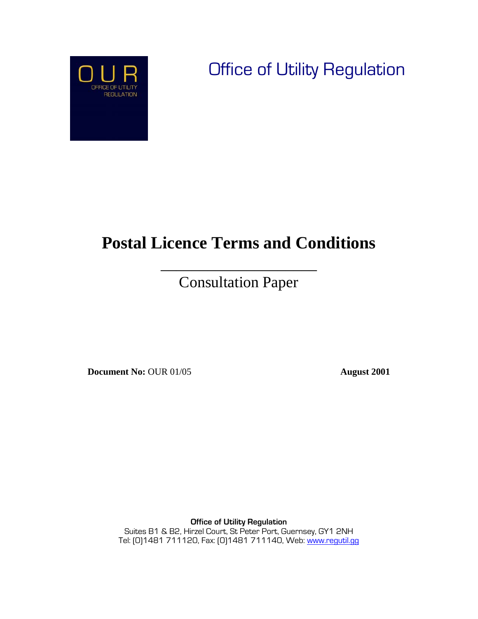

 $\overline{\phantom{a}}$ 

Office of Utility Regulation

# **Postal Licence Terms and Conditions**

 $\overline{\phantom{a}}$  , where  $\overline{\phantom{a}}$  , where  $\overline{\phantom{a}}$  , where  $\overline{\phantom{a}}$  , where  $\overline{\phantom{a}}$ Consultation Paper

**Document No:** OUR 01/05 **August 2001** 

**Office of Utility Regulation**  Suites B1 & B2, Hirzel Court, St Peter Port, Guernsey, GY1 2NH Tel: [0]1481 711120, Fax: [0]1481 711140, Web: www.regutil.gg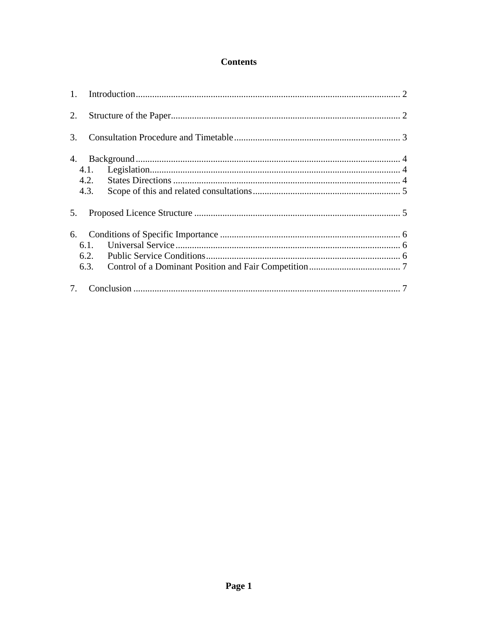#### **Contents**

| 2. |                      |  |
|----|----------------------|--|
| 3. |                      |  |
| 4. | 4.1.<br>4.2.<br>4.3. |  |
| 5. |                      |  |
| 6. | 6.1.<br>6.2.<br>6.3. |  |
| 7. |                      |  |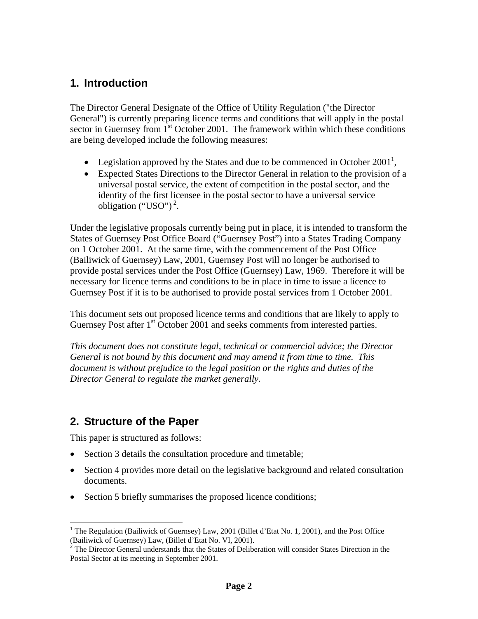## **1. Introduction**

The Director General Designate of the Office of Utility Regulation ("the Director General") is currently preparing licence terms and conditions that will apply in the postal sector in Guernsey from  $1<sup>st</sup>$  October 2001. The framework within which these conditions are being developed include the following measures:

- Legislation approved by the States and due to be commenced in October 2001<sup>1</sup>,
- Expected States Directions to the Director General in relation to the provision of a universal postal service, the extent of competition in the postal sector, and the identity of the first licensee in the postal sector to have a universal service obligation ("USO")<sup>2</sup>.

Under the legislative proposals currently being put in place, it is intended to transform the States of Guernsey Post Office Board ("Guernsey Post") into a States Trading Company on 1 October 2001. At the same time, with the commencement of the Post Office (Bailiwick of Guernsey) Law, 2001, Guernsey Post will no longer be authorised to provide postal services under the Post Office (Guernsey) Law, 1969. Therefore it will be necessary for licence terms and conditions to be in place in time to issue a licence to Guernsey Post if it is to be authorised to provide postal services from 1 October 2001.

This document sets out proposed licence terms and conditions that are likely to apply to Guernsey Post after 1<sup>st</sup> October 2001 and seeks comments from interested parties.

*This document does not constitute legal, technical or commercial advice; the Director General is not bound by this document and may amend it from time to time. This document is without prejudice to the legal position or the rights and duties of the Director General to regulate the market generally.* 

### **2. Structure of the Paper**

This paper is structured as follows:

 $\overline{a}$ 

- Section 3 details the consultation procedure and timetable;
- Section 4 provides more detail on the legislative background and related consultation documents.
- Section 5 briefly summarises the proposed licence conditions;

<sup>&</sup>lt;sup>1</sup> The Regulation (Bailiwick of Guernsey) Law, 2001 (Billet d'Etat No. 1, 2001), and the Post Office (Bailiwick of Guernsey) Law, (Billet d'Etat No. VI, 2001). 2

 $\frac{1}{2}$  The Director General understands that the States of Deliberation will consider States Direction in the Postal Sector at its meeting in September 2001.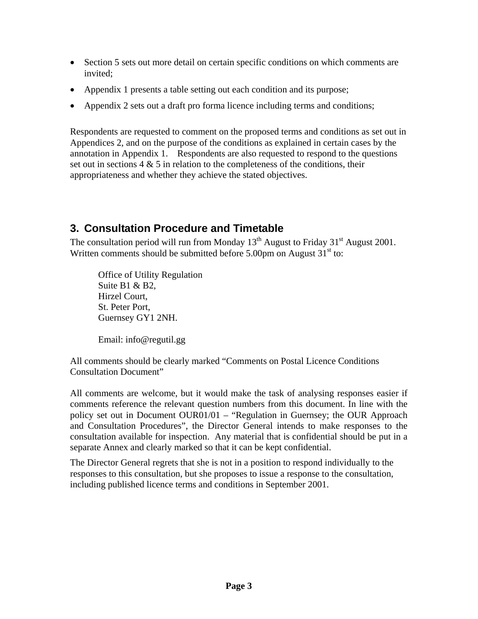- Section 5 sets out more detail on certain specific conditions on which comments are invited;
- Appendix 1 presents a table setting out each condition and its purpose;
- Appendix 2 sets out a draft pro forma licence including terms and conditions;

Respondents are requested to comment on the proposed terms and conditions as set out in Appendices 2, and on the purpose of the conditions as explained in certain cases by the annotation in Appendix 1. Respondents are also requested to respond to the questions set out in sections  $4 \& 5$  in relation to the completeness of the conditions, their appropriateness and whether they achieve the stated objectives.

## **3. Consultation Procedure and Timetable**

The consultation period will run from Monday  $13<sup>th</sup>$  August to Friday  $31<sup>st</sup>$  August 2001. Written comments should be submitted before 5.00pm on August  $31<sup>st</sup>$  to:

Office of Utility Regulation Suite B1 & B2, Hirzel Court, St. Peter Port, Guernsey GY1 2NH.

Email: info@regutil.gg

All comments should be clearly marked "Comments on Postal Licence Conditions Consultation Document"

All comments are welcome, but it would make the task of analysing responses easier if comments reference the relevant question numbers from this document. In line with the policy set out in Document OUR01/01 – "Regulation in Guernsey; the OUR Approach and Consultation Procedures", the Director General intends to make responses to the consultation available for inspection. Any material that is confidential should be put in a separate Annex and clearly marked so that it can be kept confidential.

The Director General regrets that she is not in a position to respond individually to the responses to this consultation, but she proposes to issue a response to the consultation, including published licence terms and conditions in September 2001.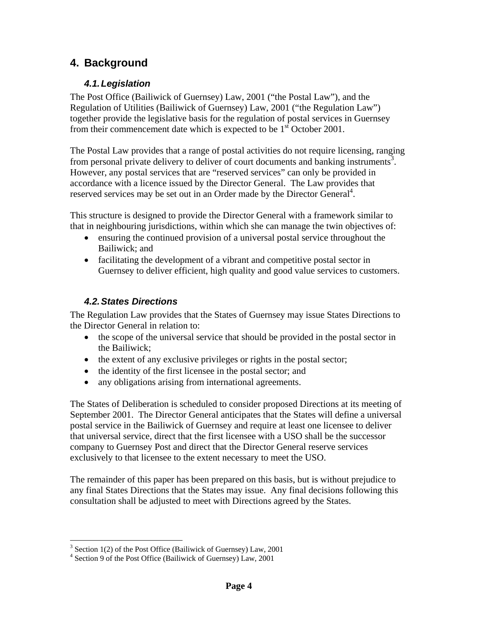## **4. Background**

#### *4.1. Legislation*

The Post Office (Bailiwick of Guernsey) Law, 2001 ("the Postal Law"), and the Regulation of Utilities (Bailiwick of Guernsey) Law, 2001 ("the Regulation Law") together provide the legislative basis for the regulation of postal services in Guernsey from their commencement date which is expected to be  $1<sup>st</sup>$  October 2001.

The Postal Law provides that a range of postal activities do not require licensing, ranging from personal private delivery to deliver of court documents and banking instruments<sup>3</sup>. However, any postal services that are "reserved services" can only be provided in accordance with a licence issued by the Director General. The Law provides that reserved services may be set out in an Order made by the Director General<sup>4</sup>.

This structure is designed to provide the Director General with a framework similar to that in neighbouring jurisdictions, within which she can manage the twin objectives of:

- ensuring the continued provision of a universal postal service throughout the Bailiwick; and
- facilitating the development of a vibrant and competitive postal sector in Guernsey to deliver efficient, high quality and good value services to customers.

#### *4.2. States Directions*

The Regulation Law provides that the States of Guernsey may issue States Directions to the Director General in relation to:

- the scope of the universal service that should be provided in the postal sector in the Bailiwick;
- the extent of any exclusive privileges or rights in the postal sector;
- the identity of the first licensee in the postal sector; and
- any obligations arising from international agreements.

The States of Deliberation is scheduled to consider proposed Directions at its meeting of September 2001. The Director General anticipates that the States will define a universal postal service in the Bailiwick of Guernsey and require at least one licensee to deliver that universal service, direct that the first licensee with a USO shall be the successor company to Guernsey Post and direct that the Director General reserve services exclusively to that licensee to the extent necessary to meet the USO.

The remainder of this paper has been prepared on this basis, but is without prejudice to any final States Directions that the States may issue. Any final decisions following this consultation shall be adjusted to meet with Directions agreed by the States.

 $\frac{3}{3}$  Section 1(2) of the Post Office (Bailiwick of Guernsey) Law, 2001

 $4$  Section 9 of the Post Office (Bailiwick of Guernsey) Law, 2001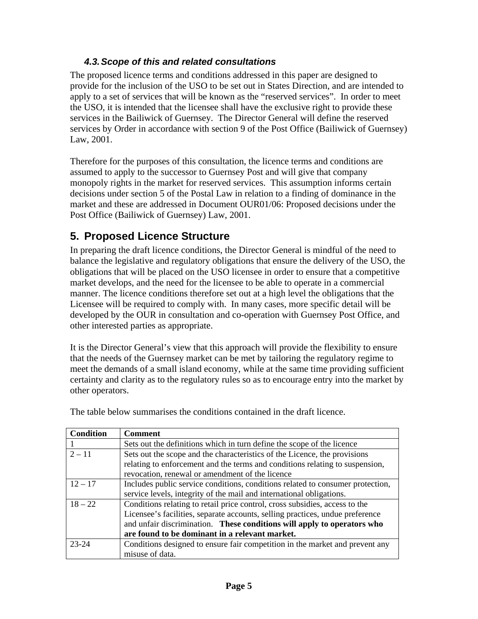#### *4.3. Scope of this and related consultations*

The proposed licence terms and conditions addressed in this paper are designed to provide for the inclusion of the USO to be set out in States Direction, and are intended to apply to a set of services that will be known as the "reserved services". In order to meet the USO, it is intended that the licensee shall have the exclusive right to provide these services in the Bailiwick of Guernsey. The Director General will define the reserved services by Order in accordance with section 9 of the Post Office (Bailiwick of Guernsey) Law, 2001.

Therefore for the purposes of this consultation, the licence terms and conditions are assumed to apply to the successor to Guernsey Post and will give that company monopoly rights in the market for reserved services. This assumption informs certain decisions under section 5 of the Postal Law in relation to a finding of dominance in the market and these are addressed in Document OUR01/06: Proposed decisions under the Post Office (Bailiwick of Guernsey) Law, 2001.

# **5. Proposed Licence Structure**

In preparing the draft licence conditions, the Director General is mindful of the need to balance the legislative and regulatory obligations that ensure the delivery of the USO, the obligations that will be placed on the USO licensee in order to ensure that a competitive market develops, and the need for the licensee to be able to operate in a commercial manner. The licence conditions therefore set out at a high level the obligations that the Licensee will be required to comply with. In many cases, more specific detail will be developed by the OUR in consultation and co-operation with Guernsey Post Office, and other interested parties as appropriate.

It is the Director General's view that this approach will provide the flexibility to ensure that the needs of the Guernsey market can be met by tailoring the regulatory regime to meet the demands of a small island economy, while at the same time providing sufficient certainty and clarity as to the regulatory rules so as to encourage entry into the market by other operators.

| <b>Condition</b> | <b>Comment</b>                                                                 |  |
|------------------|--------------------------------------------------------------------------------|--|
|                  | Sets out the definitions which in turn define the scope of the licence         |  |
| $2 - 11$         | Sets out the scope and the characteristics of the Licence, the provisions      |  |
|                  | relating to enforcement and the terms and conditions relating to suspension,   |  |
|                  | revocation, renewal or amendment of the licence                                |  |
| $12 - 17$        | Includes public service conditions, conditions related to consumer protection, |  |
|                  | service levels, integrity of the mail and international obligations.           |  |
| $18 - 22$        | Conditions relating to retail price control, cross subsidies, access to the    |  |
|                  | Licensee's facilities, separate accounts, selling practices, undue preference  |  |
|                  | and unfair discrimination. These conditions will apply to operators who        |  |
|                  | are found to be dominant in a relevant market.                                 |  |
| 23-24            | Conditions designed to ensure fair competition in the market and prevent any   |  |
|                  | misuse of data.                                                                |  |

The table below summarises the conditions contained in the draft licence.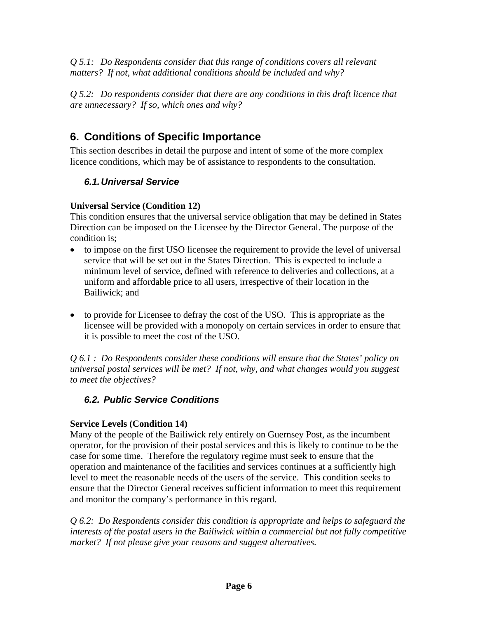*Q 5.1: Do Respondents consider that this range of conditions covers all relevant matters? If not, what additional conditions should be included and why?* 

*Q 5.2: Do respondents consider that there are any conditions in this draft licence that are unnecessary? If so, which ones and why?* 

# **6. Conditions of Specific Importance**

This section describes in detail the purpose and intent of some of the more complex licence conditions, which may be of assistance to respondents to the consultation.

#### *6.1. Universal Service*

#### **Universal Service (Condition 12)**

This condition ensures that the universal service obligation that may be defined in States Direction can be imposed on the Licensee by the Director General. The purpose of the condition is;

- to impose on the first USO licensee the requirement to provide the level of universal service that will be set out in the States Direction. This is expected to include a minimum level of service, defined with reference to deliveries and collections, at a uniform and affordable price to all users, irrespective of their location in the Bailiwick; and
- to provide for Licensee to defray the cost of the USO. This is appropriate as the licensee will be provided with a monopoly on certain services in order to ensure that it is possible to meet the cost of the USO.

*Q 6.1 : Do Respondents consider these conditions will ensure that the States' policy on universal postal services will be met? If not, why, and what changes would you suggest to meet the objectives?* 

### *6.2. Public Service Conditions*

#### **Service Levels (Condition 14)**

Many of the people of the Bailiwick rely entirely on Guernsey Post, as the incumbent operator, for the provision of their postal services and this is likely to continue to be the case for some time. Therefore the regulatory regime must seek to ensure that the operation and maintenance of the facilities and services continues at a sufficiently high level to meet the reasonable needs of the users of the service. This condition seeks to ensure that the Director General receives sufficient information to meet this requirement and monitor the company's performance in this regard.

*Q 6.2: Do Respondents consider this condition is appropriate and helps to safeguard the interests of the postal users in the Bailiwick within a commercial but not fully competitive market? If not please give your reasons and suggest alternatives.*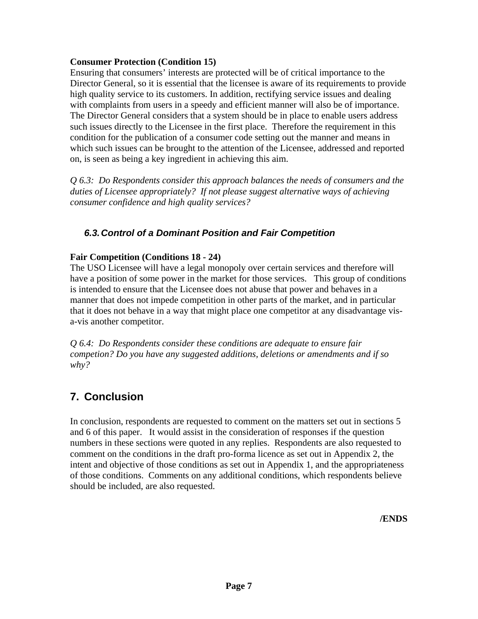#### **Consumer Protection (Condition 15)**

Ensuring that consumers' interests are protected will be of critical importance to the Director General, so it is essential that the licensee is aware of its requirements to provide high quality service to its customers. In addition, rectifying service issues and dealing with complaints from users in a speedy and efficient manner will also be of importance. The Director General considers that a system should be in place to enable users address such issues directly to the Licensee in the first place. Therefore the requirement in this condition for the publication of a consumer code setting out the manner and means in which such issues can be brought to the attention of the Licensee, addressed and reported on, is seen as being a key ingredient in achieving this aim.

*Q 6.3: Do Respondents consider this approach balances the needs of consumers and the duties of Licensee appropriately? If not please suggest alternative ways of achieving consumer confidence and high quality services?* 

#### *6.3. Control of a Dominant Position and Fair Competition*

#### **Fair Competition (Conditions 18 - 24)**

The USO Licensee will have a legal monopoly over certain services and therefore will have a position of some power in the market for those services. This group of conditions is intended to ensure that the Licensee does not abuse that power and behaves in a manner that does not impede competition in other parts of the market, and in particular that it does not behave in a way that might place one competitor at any disadvantage visa-vis another competitor.

*Q 6.4: Do Respondents consider these conditions are adequate to ensure fair competion? Do you have any suggested additions, deletions or amendments and if so why?* 

# **7. Conclusion**

In conclusion, respondents are requested to comment on the matters set out in sections 5 and 6 of this paper. It would assist in the consideration of responses if the question numbers in these sections were quoted in any replies. Respondents are also requested to comment on the conditions in the draft pro-forma licence as set out in Appendix 2, the intent and objective of those conditions as set out in Appendix 1, and the appropriateness of those conditions. Comments on any additional conditions, which respondents believe should be included, are also requested.

**/ENDS**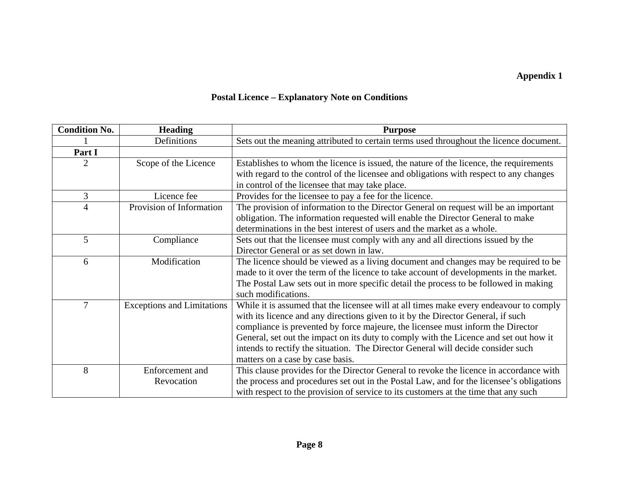## **Appendix 1**

# **Postal Licence – Explanatory Note on Conditions**

| <b>Condition No.</b> | <b>Heading</b>                    | <b>Purpose</b>                                                                           |
|----------------------|-----------------------------------|------------------------------------------------------------------------------------------|
|                      | Definitions                       | Sets out the meaning attributed to certain terms used throughout the licence document.   |
| Part I               |                                   |                                                                                          |
| $\overline{2}$       | Scope of the Licence              | Establishes to whom the licence is issued, the nature of the licence, the requirements   |
|                      |                                   | with regard to the control of the licensee and obligations with respect to any changes   |
|                      |                                   | in control of the licensee that may take place.                                          |
| 3                    | Licence fee                       | Provides for the licensee to pay a fee for the licence.                                  |
| $\overline{4}$       | Provision of Information          | The provision of information to the Director General on request will be an important     |
|                      |                                   | obligation. The information requested will enable the Director General to make           |
|                      |                                   | determinations in the best interest of users and the market as a whole.                  |
| 5                    | Compliance                        | Sets out that the licensee must comply with any and all directions issued by the         |
|                      |                                   | Director General or as set down in law.                                                  |
| 6                    | Modification                      | The licence should be viewed as a living document and changes may be required to be      |
|                      |                                   | made to it over the term of the licence to take account of developments in the market.   |
|                      |                                   | The Postal Law sets out in more specific detail the process to be followed in making     |
|                      |                                   | such modifications.                                                                      |
| 7                    | <b>Exceptions and Limitations</b> | While it is assumed that the licensee will at all times make every endeavour to comply   |
|                      |                                   | with its licence and any directions given to it by the Director General, if such         |
|                      |                                   | compliance is prevented by force majeure, the licensee must inform the Director          |
|                      |                                   | General, set out the impact on its duty to comply with the Licence and set out how it    |
|                      |                                   | intends to rectify the situation. The Director General will decide consider such         |
|                      |                                   | matters on a case by case basis.                                                         |
| 8                    | Enforcement and                   | This clause provides for the Director General to revoke the licence in accordance with   |
|                      | Revocation                        | the process and procedures set out in the Postal Law, and for the licensee's obligations |
|                      |                                   | with respect to the provision of service to its customers at the time that any such      |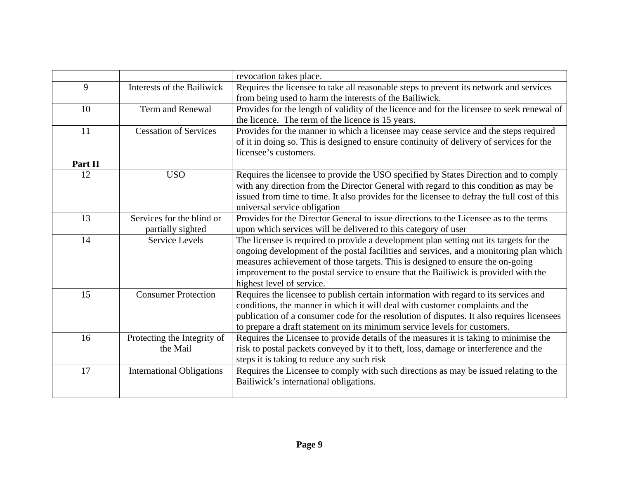|         |                                  | revocation takes place.                                                                     |
|---------|----------------------------------|---------------------------------------------------------------------------------------------|
| 9       | Interests of the Bailiwick       | Requires the licensee to take all reasonable steps to prevent its network and services      |
|         |                                  | from being used to harm the interests of the Bailiwick.                                     |
| 10      | Term and Renewal                 | Provides for the length of validity of the licence and for the licensee to seek renewal of  |
|         |                                  | the licence. The term of the licence is 15 years.                                           |
| 11      | <b>Cessation of Services</b>     | Provides for the manner in which a licensee may cease service and the steps required        |
|         |                                  | of it in doing so. This is designed to ensure continuity of delivery of services for the    |
|         |                                  | licensee's customers.                                                                       |
| Part II |                                  |                                                                                             |
| 12      | <b>USO</b>                       | Requires the licensee to provide the USO specified by States Direction and to comply        |
|         |                                  | with any direction from the Director General with regard to this condition as may be        |
|         |                                  | issued from time to time. It also provides for the licensee to defray the full cost of this |
|         |                                  | universal service obligation                                                                |
| 13      | Services for the blind or        | Provides for the Director General to issue directions to the Licensee as to the terms       |
|         | partially sighted                | upon which services will be delivered to this category of user                              |
| 14      | <b>Service Levels</b>            | The licensee is required to provide a development plan setting out its targets for the      |
|         |                                  | ongoing development of the postal facilities and services, and a monitoring plan which      |
|         |                                  | measures achievement of those targets. This is designed to ensure the on-going              |
|         |                                  | improvement to the postal service to ensure that the Bailiwick is provided with the         |
|         |                                  | highest level of service.                                                                   |
| 15      | <b>Consumer Protection</b>       | Requires the licensee to publish certain information with regard to its services and        |
|         |                                  | conditions, the manner in which it will deal with customer complaints and the               |
|         |                                  | publication of a consumer code for the resolution of disputes. It also requires licensees   |
|         |                                  | to prepare a draft statement on its minimum service levels for customers.                   |
| 16      | Protecting the Integrity of      | Requires the Licensee to provide details of the measures it is taking to minimise the       |
|         | the Mail                         | risk to postal packets conveyed by it to theft, loss, damage or interference and the        |
|         |                                  | steps it is taking to reduce any such risk                                                  |
| 17      | <b>International Obligations</b> | Requires the Licensee to comply with such directions as may be issued relating to the       |
|         |                                  | Bailiwick's international obligations.                                                      |
|         |                                  |                                                                                             |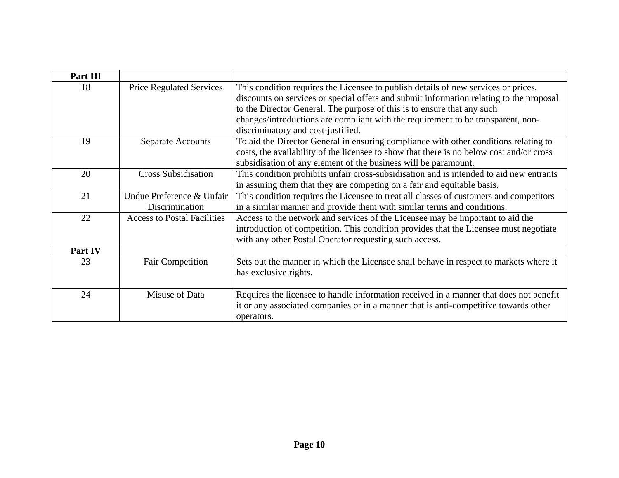| Part III |                                    |                                                                                                                                                                               |
|----------|------------------------------------|-------------------------------------------------------------------------------------------------------------------------------------------------------------------------------|
| 18       | <b>Price Regulated Services</b>    | This condition requires the Licensee to publish details of new services or prices,<br>discounts on services or special offers and submit information relating to the proposal |
|          |                                    | to the Director General. The purpose of this is to ensure that any such                                                                                                       |
|          |                                    | changes/introductions are compliant with the requirement to be transparent, non-                                                                                              |
|          |                                    | discriminatory and cost-justified.                                                                                                                                            |
| 19       | <b>Separate Accounts</b>           | To aid the Director General in ensuring compliance with other conditions relating to                                                                                          |
|          |                                    | costs, the availability of the licensee to show that there is no below cost and/or cross                                                                                      |
|          |                                    | subsidisation of any element of the business will be paramount.                                                                                                               |
| 20       | <b>Cross Subsidisation</b>         | This condition prohibits unfair cross-subsidisation and is intended to aid new entrants                                                                                       |
|          |                                    | in assuring them that they are competing on a fair and equitable basis.                                                                                                       |
| 21       | Undue Preference & Unfair          | This condition requires the Licensee to treat all classes of customers and competitors                                                                                        |
|          | <b>Discrimination</b>              | in a similar manner and provide them with similar terms and conditions.                                                                                                       |
| 22       | <b>Access to Postal Facilities</b> | Access to the network and services of the Licensee may be important to aid the                                                                                                |
|          |                                    | introduction of competition. This condition provides that the Licensee must negotiate                                                                                         |
|          |                                    | with any other Postal Operator requesting such access.                                                                                                                        |
| Part IV  |                                    |                                                                                                                                                                               |
| 23       | <b>Fair Competition</b>            | Sets out the manner in which the Licensee shall behave in respect to markets where it                                                                                         |
|          |                                    | has exclusive rights.                                                                                                                                                         |
|          |                                    |                                                                                                                                                                               |
| 24       | Misuse of Data                     | Requires the licensee to handle information received in a manner that does not benefit                                                                                        |
|          |                                    | it or any associated companies or in a manner that is anti-competitive towards other                                                                                          |
|          |                                    | operators.                                                                                                                                                                    |